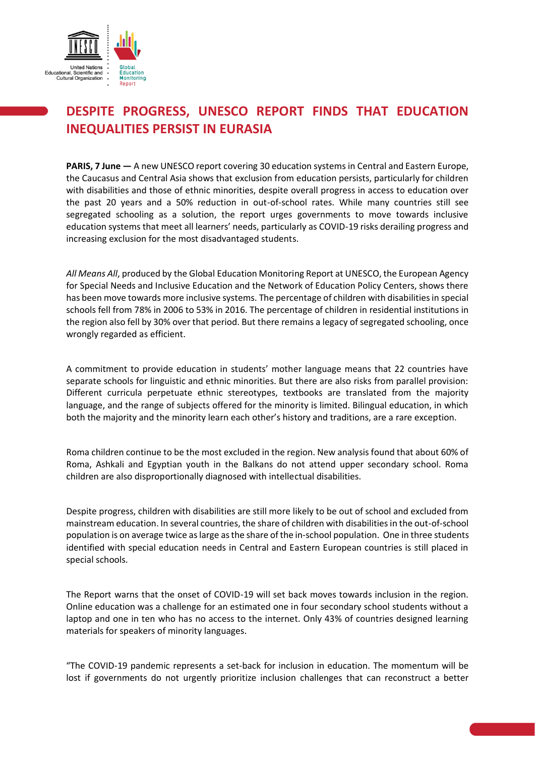

## **DESPITE PROGRESS, UNESCO REPORT FINDS THAT EDUCATION INEQUALITIES PERSIST IN EURASIA**

**PARIS, 7 June —** A new UNESCO report covering 30 education systems in Central and Eastern Europe, the Caucasus and Central Asia shows that exclusion from education persists, particularly for children with disabilities and those of ethnic minorities, despite overall progress in access to education over the past 20 years and a 50% reduction in out-of-school rates. While many countries still see segregated schooling as a solution, the report urges governments to move towards inclusive education systems that meet all learners' needs, particularly as COVID-19 risks derailing progress and increasing exclusion for the most disadvantaged students.

*All Means All*, produced by the Global Education Monitoring Report at UNESCO, the European Agency for Special Needs and Inclusive Education and the Network of Education Policy Centers, shows there has been move towards more inclusive systems. The percentage of children with disabilities in special schools fell from 78% in 2006 to 53% in 2016. The percentage of children in residential institutions in the region also fell by 30% over that period. But there remains a legacy of segregated schooling, once wrongly regarded as efficient.

A commitment to provide education in students' mother language means that 22 countries have separate schools for linguistic and ethnic minorities. But there are also risks from parallel provision: Different curricula perpetuate ethnic stereotypes, textbooks are translated from the majority language, and the range of subjects offered for the minority is limited. Bilingual education, in which both the majority and the minority learn each other's history and traditions, are a rare exception.

Roma children continue to be the most excluded in the region. New analysis found that about 60% of Roma, Ashkali and Egyptian youth in the Balkans do not attend upper secondary school. Roma children are also disproportionally diagnosed with intellectual disabilities.

Despite progress, children with disabilities are still more likely to be out of school and excluded from mainstream education. In several countries, the share of children with disabilities in the out-of-school population is on average twice as large as the share of the in-school population. One in three students identified with special education needs in Central and Eastern European countries is still placed in special schools.

The Report warns that the onset of COVID-19 will set back moves towards inclusion in the region. Online education was a challenge for an estimated one in four secondary school students without a laptop and one in ten who has no access to the internet. Only 43% of countries designed learning materials for speakers of minority languages.

"The COVID-19 pandemic represents a set-back for inclusion in education. The momentum will be lost if governments do not urgently prioritize inclusion challenges that can reconstruct a better